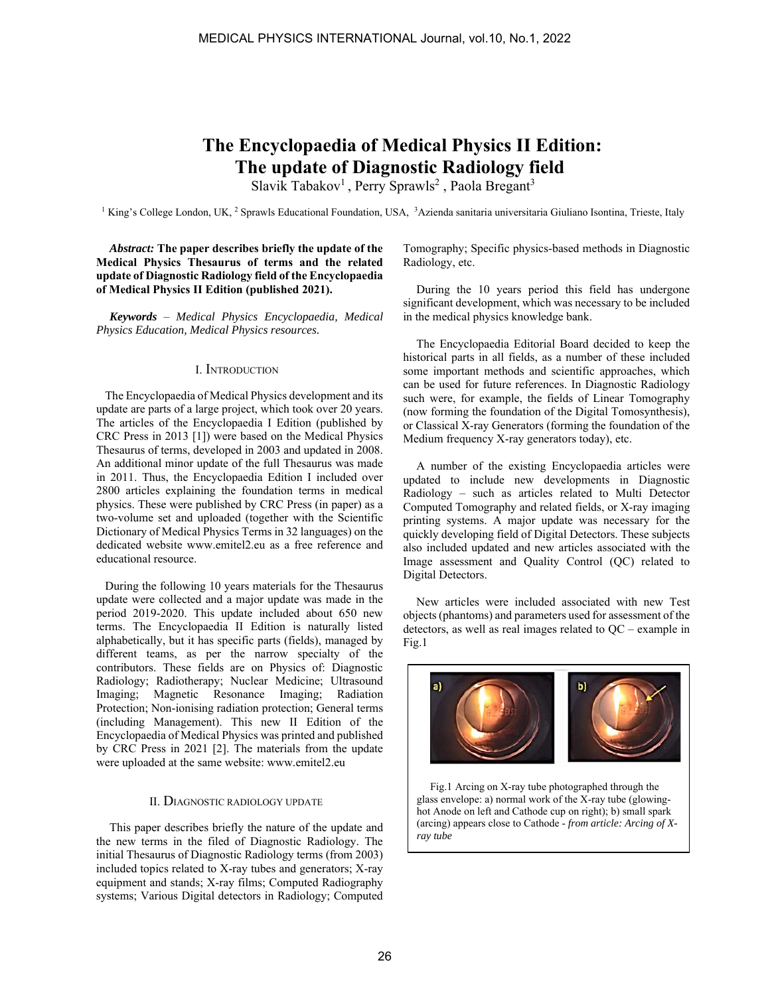# **The Encyclopaedia of Medical Physics II Edition: The update of Diagnostic Radiology field**

Slavik Tabakov<sup>1</sup>, Perry Sprawls<sup>2</sup>, Paola Bregant<sup>3</sup>

<sup>1</sup> King's College London, UK, <sup>2</sup> Sprawls Educational Foundation, USA, <sup>3</sup>Azienda sanitaria universitaria Giuliano Isontina, Trieste, Italy

*Abstract:* **The paper describes briefly the update of the Medical Physics Thesaurus of terms and the related update of Diagnostic Radiology field of the Encyclopaedia of Medical Physics II Edition (published 2021).**

*Keywords* – *Medical Physics Encyclopaedia, Medical Physics Education, Medical Physics resources.*

#### I. INTRODUCTION

 The Encyclopaedia of Medical Physics development and its update are parts of a large project, which took over 20 years. The articles of the Encyclopaedia I Edition (published by CRC Press in 2013 [1]) were based on the Medical Physics Thesaurus of terms, developed in 2003 and updated in 2008. An additional minor update of the full Thesaurus was made in 2011. Thus, the Encyclopaedia Edition I included over 2800 articles explaining the foundation terms in medical physics. These were published by CRC Press (in paper) as a two-volume set and uploaded (together with the Scientific Dictionary of Medical Physics Terms in 32 languages) on the dedicated website www.emitel2.eu as a free reference and educational resource.

 During the following 10 years materials for the Thesaurus update were collected and a major update was made in the period 2019-2020. This update included about 650 new terms. The Encyclopaedia II Edition is naturally listed alphabetically, but it has specific parts (fields), managed by different teams, as per the narrow specialty of the contributors. These fields are on Physics of: Diagnostic Radiology; Radiotherapy; Nuclear Medicine; Ultrasound Imaging; Magnetic Resonance Imaging; Radiation Protection; Non-ionising radiation protection; General terms (including Management). This new II Edition of the Encyclopaedia of Medical Physics was printed and published by CRC Press in 2021 [2]. The materials from the update were uploaded at the same website: www.emitel2.eu

## II. DIAGNOSTIC RADIOLOGY UPDATE

This paper describes briefly the nature of the update and the new terms in the filed of Diagnostic Radiology. The initial Thesaurus of Diagnostic Radiology terms (from 2003) included topics related to X-ray tubes and generators; X-ray equipment and stands; X-ray films; Computed Radiography systems; Various Digital detectors in Radiology; Computed Tomography; Specific physics-based methods in Diagnostic Radiology, etc.

During the 10 years period this field has undergone significant development, which was necessary to be included in the medical physics knowledge bank.

The Encyclopaedia Editorial Board decided to keep the historical parts in all fields, as a number of these included some important methods and scientific approaches, which can be used for future references. In Diagnostic Radiology such were, for example, the fields of Linear Tomography (now forming the foundation of the Digital Tomosynthesis), or Classical X-ray Generators (forming the foundation of the Medium frequency X-ray generators today), etc.

A number of the existing Encyclopaedia articles were updated to include new developments in Diagnostic Radiology – such as articles related to Multi Detector Computed Tomography and related fields, or X-ray imaging printing systems. A major update was necessary for the quickly developing field of Digital Detectors. These subjects also included updated and new articles associated with the Image assessment and Quality Control (QC) related to Digital Detectors.

New articles were included associated with new Test objects (phantoms) and parameters used for assessment of the detectors, as well as real images related to QC – example in Fig.1



Fig.1 Arcing on X-ray tube photographed through the glass envelope: a) normal work of the X-ray tube (glowinghot Anode on left and Cathode cup on right); b) small spark (arcing) appears close to Cathode - *from article: Arcing of Xray tube*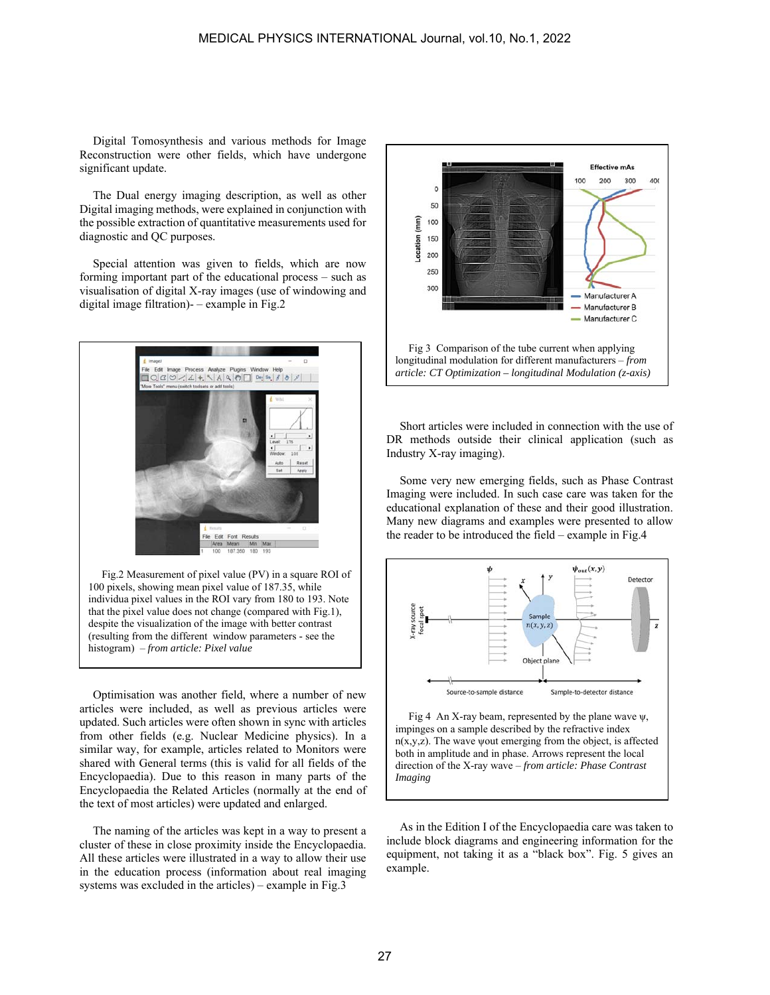Digital Tomosynthesis and various methods for Image Reconstruction were other fields, which have undergone significant update.

The Dual energy imaging description, as well as other Digital imaging methods, were explained in conjunction with the possible extraction of quantitative measurements used for diagnostic and QC purposes.

Special attention was given to fields, which are now forming important part of the educational process – such as visualisation of digital X-ray images (use of windowing and digital image filtration)- – example in Fig.2



Fig.2 Measurement of pixel value (PV) in a square ROI of 100 pixels, showing mean pixel value of 187.35, while individua pixel values in the ROI vary from 180 to 193. Note that the pixel value does not change (compared with Fig.1), despite the visualization of the image with better contrast (resulting from the different window parameters - see the histogram) – *from article: Pixel value*

Optimisation was another field, where a number of new articles were included, as well as previous articles were updated. Such articles were often shown in sync with articles from other fields (e.g. Nuclear Medicine physics). In a similar way, for example, articles related to Monitors were shared with General terms (this is valid for all fields of the Encyclopaedia). Due to this reason in many parts of the Encyclopaedia the Related Articles (normally at the end of the text of most articles) were updated and enlarged.

The naming of the articles was kept in a way to present a cluster of these in close proximity inside the Encyclopaedia. All these articles were illustrated in a way to allow their use in the education process (information about real imaging systems was excluded in the articles) – example in Fig.3



Short articles were included in connection with the use of DR methods outside their clinical application (such as Industry X-ray imaging).

Some very new emerging fields, such as Phase Contrast Imaging were included. In such case care was taken for the educational explanation of these and their good illustration. Many new diagrams and examples were presented to allow the reader to be introduced the field – example in Fig.4



Fig 4 An X-ray beam, represented by the plane wave  $\psi$ , impinges on a sample described by the refractive index  $n(x,y,z)$ . The wave  $\psi$ out emerging from the object, is affected both in amplitude and in phase. Arrows represent the local direction of the X-ray wave – *from article: Phase Contrast Imaging* 

As in the Edition I of the Encyclopaedia care was taken to include block diagrams and engineering information for the equipment, not taking it as a "black box". Fig. 5 gives an example.